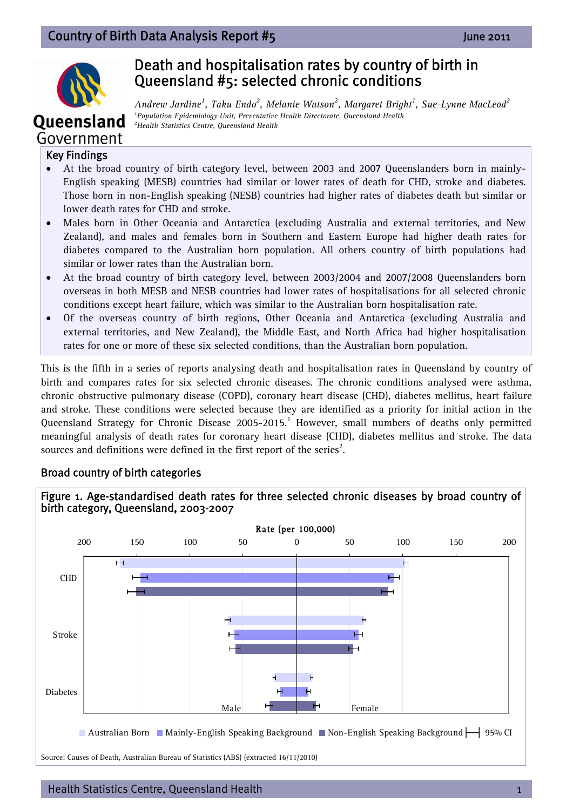

**Oueensland** 

# Death and hospitalisation rates by country of birth in Queensland #5: selected chronic conditions

*Andrew Jardine<sup>1</sup> , Taku Endo2 , Melanie Watson2 , Margaret Bright1 , Sue-Lynne MacLeod<sup>2</sup>* <sup>1</sup> Population Epidemiology Unit, Preventative Health Directorate, Queensland Health <sup>2</sup><br><sup>2</sup> Health Statistics Centre, Queensland Health *Health Statistics Centre, Queensland Health* 

## Government Key Findings

- At the broad country of birth category level, between 2003 and 2007 Queenslanders born in mainly-English speaking (MESB) countries had similar or lower rates of death for CHD, stroke and diabetes. Those born in non-English speaking (NESB) countries had higher rates of diabetes death but similar or lower death rates for CHD and stroke.
- Males born in Other Oceania and Antarctica (excluding Australia and external territories, and New Zealand), and males and females born in Southern and Eastern Europe had higher death rates for diabetes compared to the Australian born population. All others country of birth populations had similar or lower rates than the Australian born.
- At the broad country of birth category level, between 2003/2004 and 2007/2008 Queenslanders born overseas in both MESB and NESB countries had lower rates of hospitalisations for all selected chronic conditions except heart failure, which was similar to the Australian born hospitalisation rate.
- Of the overseas country of birth regions, Other Oceania and Antarctica (excluding Australia and external territories, and New Zealand), the Middle East, and North Africa had higher hospitalisation rates for one or more of these six selected conditions, than the Australian born population.

This is the fifth in a series of reports analysing death and hospitalisation rates in Queensland by country of birth and compares rates for six selected chronic diseases. The chronic conditions analysed were asthma, chronic obstructive pulmonary disease (COPD), coronary heart disease (CHD), diabetes mellitus, heart failure and stroke. These conditions were selected because they are identified as a priority for initial action in the Queensland Strategy for Chronic Disease 2005-2015.<sup>1</sup> However, small numbers of deaths only permitted meaningful analysis of death rates for coronary heart disease (CHD), diabetes mellitus and stroke. The data sources and definitions were defined in the first report of the series<sup>2</sup>.

### Broad country of birth categories

#### Figure 1. Age-standardised death rates for three selected chronic diseases by broad country of birth category, Queensland, 2003-2007



Source: Causes of Death, Australian Bureau of Statistics (ABS) (extracted 16/11/2010)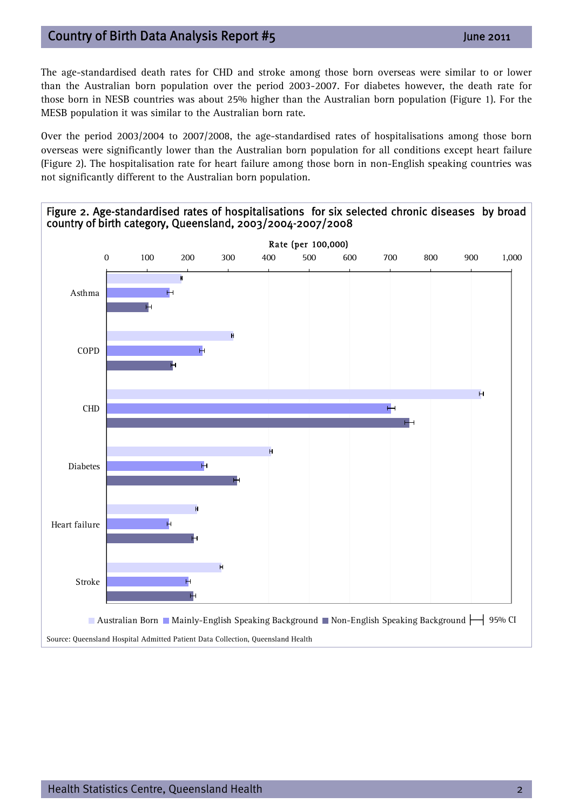## Country of Birth Data Analysis Report #5 June 2011

The age-standardised death rates for CHD and stroke among those born overseas were similar to or lower than the Australian born population over the period 2003-2007. For diabetes however, the death rate for those born in NESB countries was about 25% higher than the Australian born population (Figure 1). For the MESB population it was similar to the Australian born rate.

Over the period 2003/2004 to 2007/2008, the age-standardised rates of hospitalisations among those born overseas were significantly lower than the Australian born population for all conditions except heart failure (Figure 2). The hospitalisation rate for heart failure among those born in non-English speaking countries was not significantly different to the Australian born population.

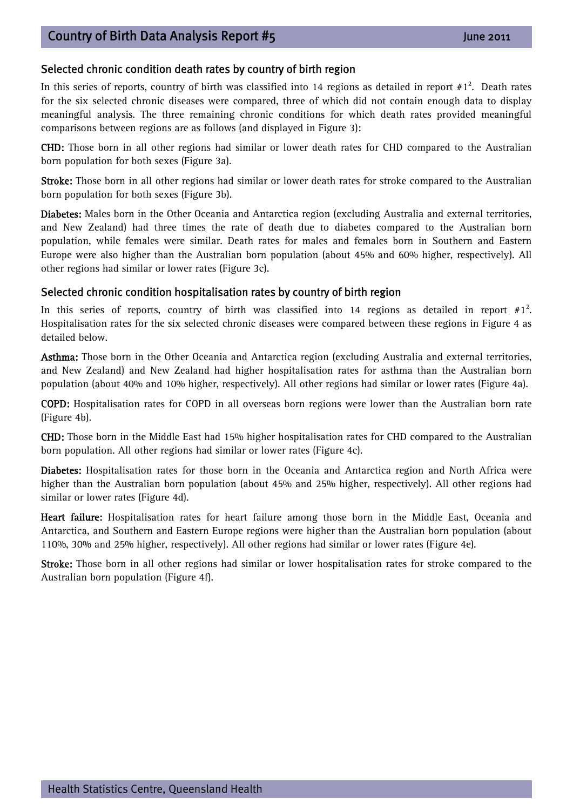#### Selected chronic condition death rates by country of birth region

In this series of reports, country of birth was classified into 14 regions as detailed in report  $#1^2$ . Death rates for the six selected chronic diseases were compared, three of which did not contain enough data to display meaningful analysis. The three remaining chronic conditions for which death rates provided meaningful comparisons between regions are as follows (and displayed in Figure 3):

CHD: Those born in all other regions had similar or lower death rates for CHD compared to the Australian born population for both sexes (Figure 3a).

Stroke: Those born in all other regions had similar or lower death rates for stroke compared to the Australian born population for both sexes (Figure 3b).

Diabetes: Males born in the Other Oceania and Antarctica region (excluding Australia and external territories, and New Zealand) had three times the rate of death due to diabetes compared to the Australian born population, while females were similar. Death rates for males and females born in Southern and Eastern Europe were also higher than the Australian born population (about 45% and 60% higher, respectively). All other regions had similar or lower rates (Figure 3c).

#### Selected chronic condition hospitalisation rates by country of birth region

In this series of reports, country of birth was classified into 14 regions as detailed in report  $#1^2$ . Hospitalisation rates for the six selected chronic diseases were compared between these regions in Figure 4 as detailed below.

Asthma: Those born in the Other Oceania and Antarctica region (excluding Australia and external territories, and New Zealand) and New Zealand had higher hospitalisation rates for asthma than the Australian born population (about 40% and 10% higher, respectively). All other regions had similar or lower rates (Figure 4a).

COPD: Hospitalisation rates for COPD in all overseas born regions were lower than the Australian born rate (Figure 4b).

CHD: Those born in the Middle East had 15% higher hospitalisation rates for CHD compared to the Australian born population. All other regions had similar or lower rates (Figure 4c).

Diabetes: Hospitalisation rates for those born in the Oceania and Antarctica region and North Africa were higher than the Australian born population (about 45% and 25% higher, respectively). All other regions had similar or lower rates (Figure 4d).

Heart failure: Hospitalisation rates for heart failure among those born in the Middle East, Oceania and Antarctica, and Southern and Eastern Europe regions were higher than the Australian born population (about 110%, 30% and 25% higher, respectively). All other regions had similar or lower rates (Figure 4e).

Stroke: Those born in all other regions had similar or lower hospitalisation rates for stroke compared to the Australian born population (Figure 4f).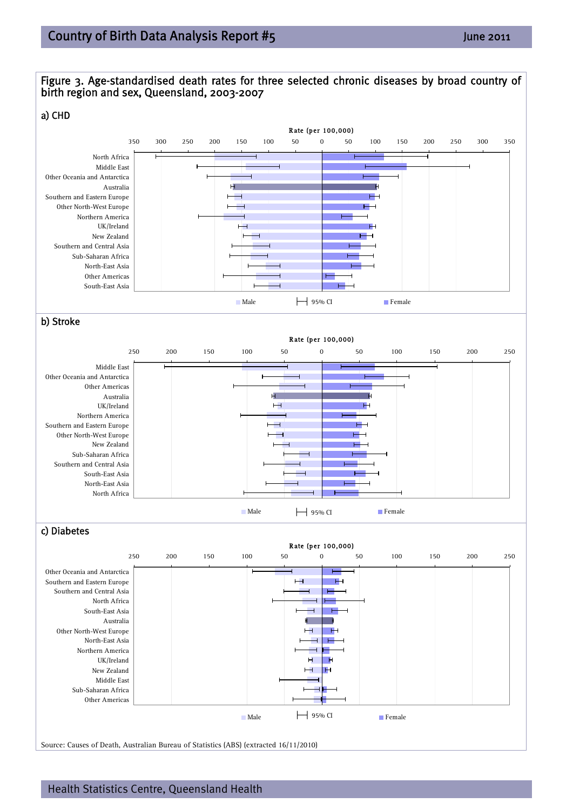

Source: Causes of Death, Australian Bureau of Statistics (ABS) (extracted 16/11/2010)

Health Statistics Centre, Queensland Health 4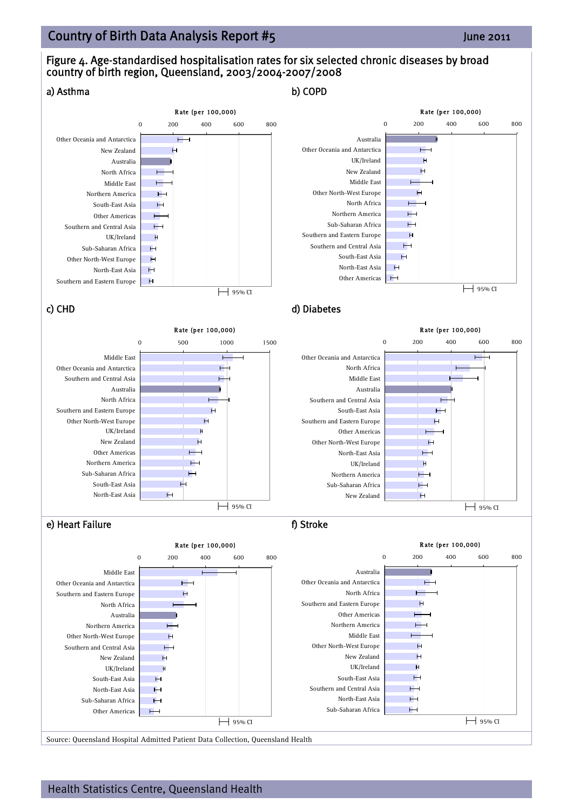## Country of Birth Data Analysis Report #5 June 2011

## Figure 4. Age-standardised hospitalisation rates for six selected chronic diseases by broad country of birth region, Queensland, 2003/2004-2007/2008

![](_page_4_Figure_2.jpeg)